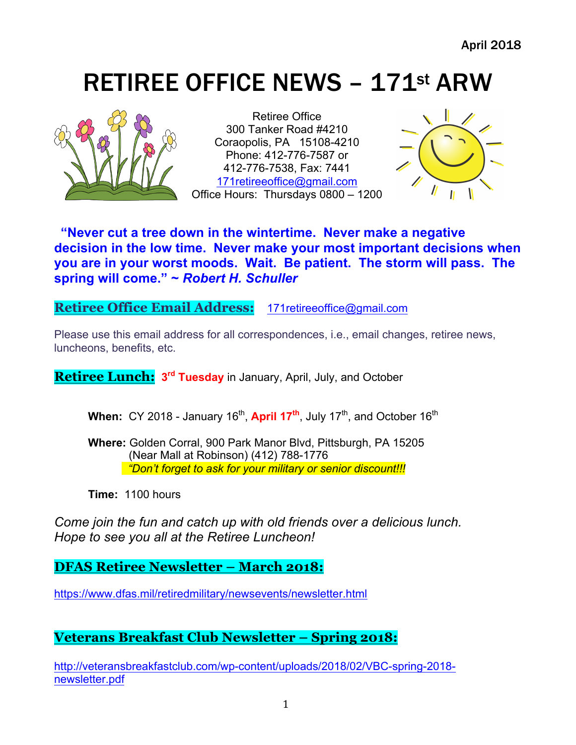# RETIREE OFFICE NEWS – 171st ARW



Retiree Office 300 Tanker Road #4210 Coraopolis, PA 15108-4210 Phone: 412-776-7587 or 412-776-7538, Fax: 7441 171retireeoffice@gmail.com Office Hours: Thursdays 0800 – 1200 



## **"Never cut a tree down in the wintertime. Never make a negative decision in the low time. Never make your most important decisions when you are in your worst moods. Wait. Be patient. The storm will pass. The spring will come." ~** *Robert H. Schuller*

**Retiree Office Email Address:** 171retireeoffice@gmail.com

Please use this email address for all correspondences, i.e., email changes, retiree news, luncheons, benefits, etc.

**Retiree Lunch: 3rd Tuesday** in January, April, July, and October

**When:** CY 2018 - January 16<sup>th</sup>, **April 17<sup>th</sup>**, July 17<sup>th</sup>, and October 16<sup>th</sup>

**Where:** Golden Corral, 900 Park Manor Blvd, Pittsburgh, PA 15205 (Near Mall at Robinson) (412) 788-1776  *"Don't forget to ask for your military or senior discount!!!*

**Time:** 1100 hours

*Come join the fun and catch up with old friends over a delicious lunch. Hope to see you all at the Retiree Luncheon!*

## **DFAS Retiree Newsletter – March 2018:**

https://www.dfas.mil/retiredmilitary/newsevents/newsletter.html

# **Veterans Breakfast Club Newsletter – Spring 2018:**

http://veteransbreakfastclub.com/wp-content/uploads/2018/02/VBC-spring-2018 newsletter.pdf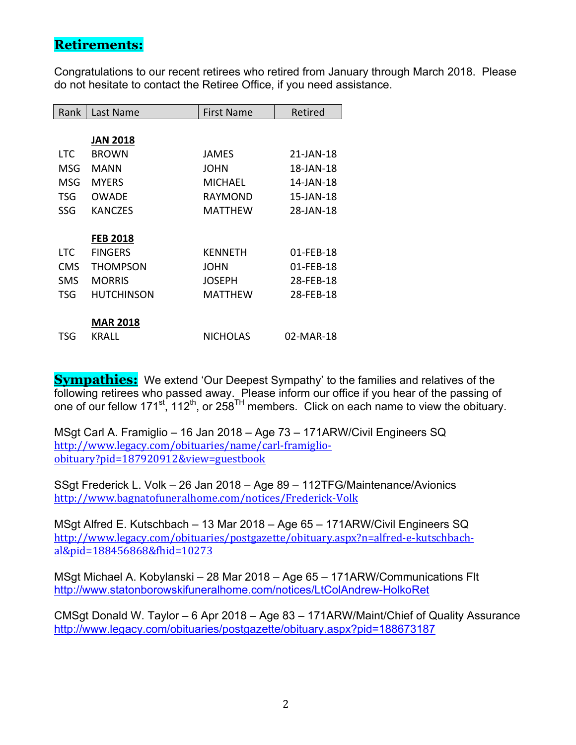## **Retirements:**

Congratulations to our recent retirees who retired from January through March 2018. Please do not hesitate to contact the Retiree Office, if you need assistance.

| Rank       | Last Name         | <b>First Name</b> | Retired   |
|------------|-------------------|-------------------|-----------|
|            |                   |                   |           |
|            | <b>JAN 2018</b>   |                   |           |
| <b>LTC</b> | <b>BROWN</b>      | JAMES             | 21-JAN-18 |
| MSG        | MANN              | JOHN              | 18-JAN-18 |
| MSG        | <b>MYERS</b>      | MICHAEL           | 14-JAN-18 |
| <b>TSG</b> | OWADE             | RAYMOND           | 15-JAN-18 |
| <b>SSG</b> | KANCZES           | <b>MATTHEW</b>    | 28-JAN-18 |
|            |                   |                   |           |
|            | <b>FEB 2018</b>   |                   |           |
| <b>LTC</b> | <b>FINGERS</b>    | <b>KFNNFTH</b>    | 01-FEB-18 |
| <b>CMS</b> | <b>THOMPSON</b>   | JOHN              | 01-FEB-18 |
| <b>SMS</b> | <b>MORRIS</b>     | <b>JOSEPH</b>     | 28-FEB-18 |
| TSG        | <b>HUTCHINSON</b> | <b>MATTHEW</b>    | 28-FEB-18 |
|            |                   |                   |           |
|            | <b>MAR 2018</b>   |                   |           |
| TSG        | <b>KRALL</b>      | <b>NICHOLAS</b>   | 02-MAR-18 |

**Sympathies:** We extend 'Our Deepest Sympathy' to the families and relatives of the following retirees who passed away. Please inform our office if you hear of the passing of one of our fellow 171st, 112th, or 258TH members. Click on each name to view the obituary.

MSgt Carl A. Framiglio – 16 Jan 2018 – Age 73 – 171ARW/Civil Engineers SQ http://www.legacy.com/obituaries/name/carl-framiglioobituary?pid=187920912&view=guestbook

SSgt Frederick L. Volk – 26 Jan 2018 – Age 89 – 112TFG/Maintenance/Avionics http://www.bagnatofuneralhome.com/notices/Frederick-Volk

MSgt Alfred E. Kutschbach – 13 Mar 2018 – Age 65 – 171ARW/Civil Engineers SQ http://www.legacy.com/obituaries/postgazette/obituary.aspx?n=alfred-e-kutschbachal&pid=188456868&fhid=10273

MSgt Michael A. Kobylanski – 28 Mar 2018 – Age 65 – 171ARW/Communications Flt http://www.statonborowskifuneralhome.com/notices/LtColAndrew-HolkoRet

CMSgt Donald W. Taylor – 6 Apr 2018 – Age 83 – 171ARW/Maint/Chief of Quality Assurance http://www.legacy.com/obituaries/postgazette/obituary.aspx?pid=188673187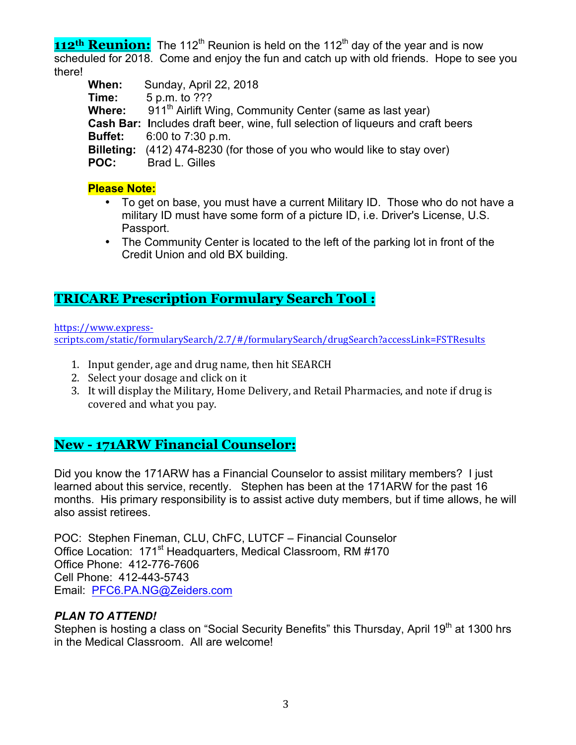112<sup>th</sup> **Reunion:** The 112<sup>th</sup> Reunion is held on the 112<sup>th</sup> day of the year and is now scheduled for 2018. Come and enjoy the fun and catch up with old friends. Hope to see you there!

**When:** Sunday, April 22, 2018 **Time:** 5 p.m. to ??? **Where:** 911<sup>th</sup> Airlift Wing, Community Center (same as last year) **Cash Bar: I**ncludes draft beer, wine, full selection of liqueurs and craft beers **Buffet:** 6:00 to 7:30 p.m. **Billeting:** (412) 474-8230 (for those of you who would like to stay over) **POC:** Brad L. Gilles

## **Please Note:**

- To get on base, you must have a current Military ID. Those who do not have a military ID must have some form of a picture ID, i.e. Driver's License, U.S. Passport.
- The Community Center is located to the left of the parking lot in front of the Credit Union and old BX building.

# **TRICARE Prescription Formulary Search Tool :**

### https://www.express-

scripts.com/static/formularySearch/2.7/#/formularySearch/drugSearch?accessLink=FSTResults

- 1. Input gender, age and drug name, then hit SEARCH
- 2. Select your dosage and click on it
- 3. It will display the Military, Home Delivery, and Retail Pharmacies, and note if drug is covered and what you pay.

# **New - 171ARW Financial Counselor:**

Did you know the 171ARW has a Financial Counselor to assist military members? I just learned about this service, recently. Stephen has been at the 171ARW for the past 16 months. His primary responsibility is to assist active duty members, but if time allows, he will also assist retirees.

POC: Stephen Fineman, CLU, ChFC, LUTCF – Financial Counselor Office Location: 171<sup>st</sup> Headquarters, Medical Classroom, RM #170 Office Phone: 412-776-7606 Cell Phone: 412-443-5743 Email: PFC6.PA.NG@Zeiders.com

## *PLAN TO ATTEND!*

Stephen is hosting a class on "Social Security Benefits" this Thursday, April 19<sup>th</sup> at 1300 hrs in the Medical Classroom. All are welcome!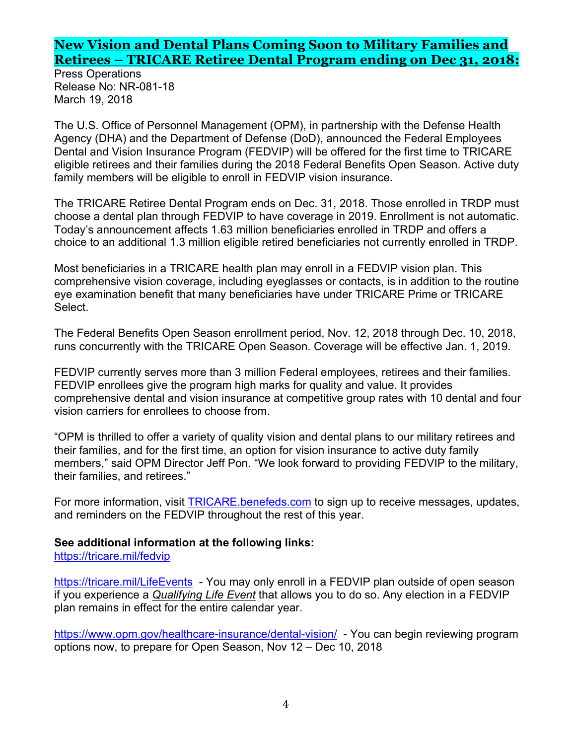## **New Vision and Dental Plans Coming Soon to Military Families and Retirees – TRICARE Retiree Dental Program ending on Dec 31, 2018:**

Press Operations Release No: NR-081-18 March 19, 2018

The U.S. Office of Personnel Management (OPM), in partnership with the Defense Health Agency (DHA) and the Department of Defense (DoD), announced the Federal Employees Dental and Vision Insurance Program (FEDVIP) will be offered for the first time to TRICARE eligible retirees and their families during the 2018 Federal Benefits Open Season. Active duty family members will be eligible to enroll in FEDVIP vision insurance.

The TRICARE Retiree Dental Program ends on Dec. 31, 2018. Those enrolled in TRDP must choose a dental plan through FEDVIP to have coverage in 2019. Enrollment is not automatic. Today's announcement affects 1.63 million beneficiaries enrolled in TRDP and offers a choice to an additional 1.3 million eligible retired beneficiaries not currently enrolled in TRDP.

Most beneficiaries in a TRICARE health plan may enroll in a FEDVIP vision plan. This comprehensive vision coverage, including eyeglasses or contacts, is in addition to the routine eye examination benefit that many beneficiaries have under TRICARE Prime or TRICARE Select.

The Federal Benefits Open Season enrollment period, Nov. 12, 2018 through Dec. 10, 2018, runs concurrently with the TRICARE Open Season. Coverage will be effective Jan. 1, 2019.

FEDVIP currently serves more than 3 million Federal employees, retirees and their families. FEDVIP enrollees give the program high marks for quality and value. It provides comprehensive dental and vision insurance at competitive group rates with 10 dental and four vision carriers for enrollees to choose from.

"OPM is thrilled to offer a variety of quality vision and dental plans to our military retirees and their families, and for the first time, an option for vision insurance to active duty family members," said OPM Director Jeff Pon. "We look forward to providing FEDVIP to the military, their families, and retirees."

For more information, visit TRICARE.benefeds.com to sign up to receive messages, updates, and reminders on the FEDVIP throughout the rest of this year.

## **See additional information at the following links:**

https://tricare.mil/fedvip

https://tricare.mil/LifeEvents - You may only enroll in a FEDVIP plan outside of open season if you experience a *Qualifying Life Event* that allows you to do so. Any election in a FEDVIP plan remains in effect for the entire calendar year.

https://www.opm.gov/healthcare-insurance/dental-vision/ - You can begin reviewing program options now, to prepare for Open Season, Nov 12 – Dec 10, 2018